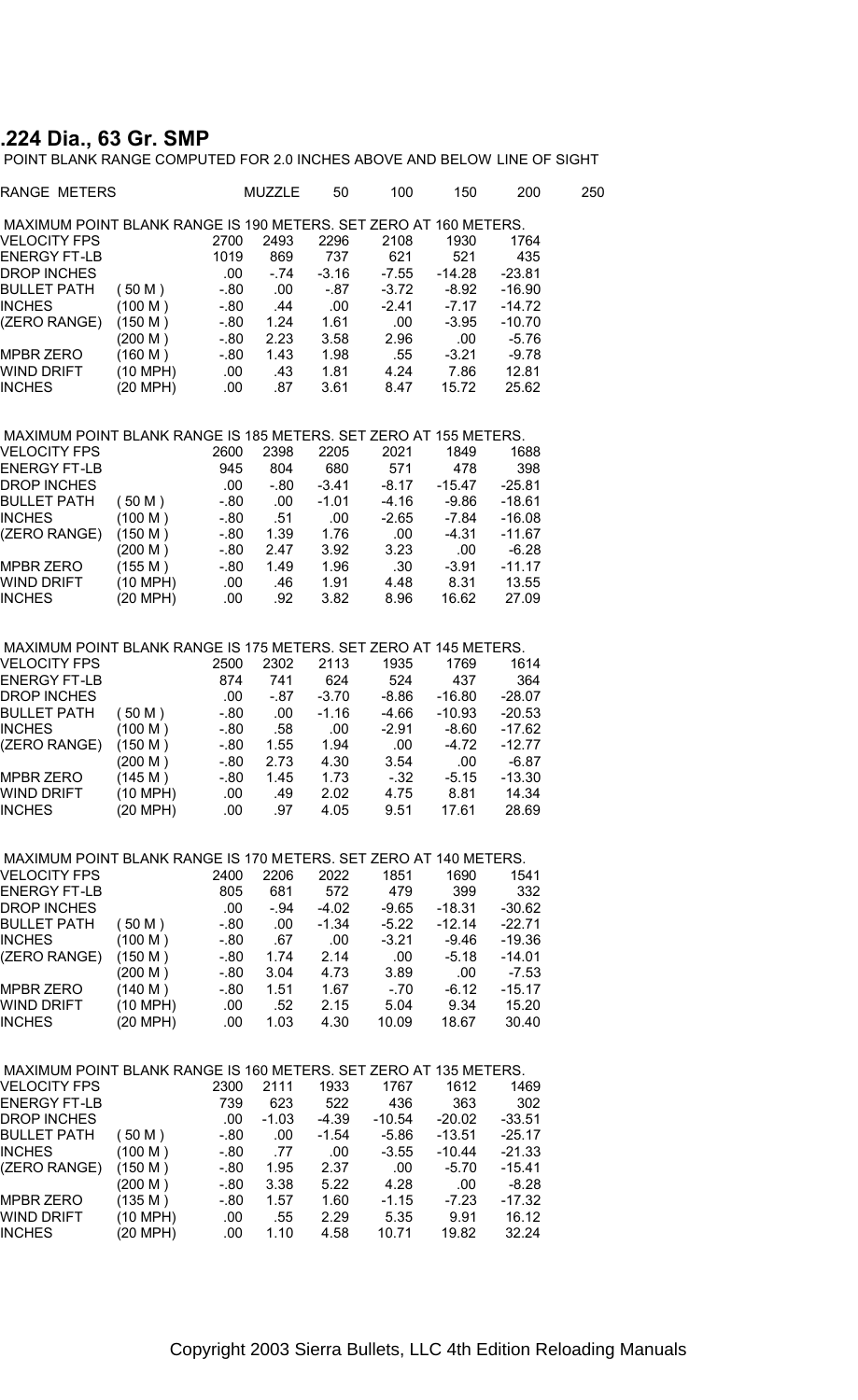## **.224 Dia., 63 Gr. SMP**

POINT BLANK RANGE COMPUTED FOR 2.0 INCHES ABOVE AND BELOW LINE OF SIGHT

| RANGE METERS                                                     |            |         | MUZZLE  | 50      | 100      | 150      | 200      | 250 |
|------------------------------------------------------------------|------------|---------|---------|---------|----------|----------|----------|-----|
| MAXIMUM POINT BLANK RANGE IS 190 METERS. SET ZERO AT 160 METERS. |            |         |         |         |          |          |          |     |
| VELOCITY FPS                                                     |            | 2700    | 2493    | 2296    | 2108     | 1930     | 1764     |     |
| ENERGY FT-LB                                                     |            | 1019    | 869     | 737     | 621      | 521      | 435      |     |
| DROP INCHES                                                      |            | .00.    | $-74$   | $-3.16$ | $-7.55$  | $-14.28$ | $-23.81$ |     |
| BULLET PATH                                                      | (50 M)     | $-0.80$ | .00     | $-87$   | $-3.72$  | -8.92    | $-16.90$ |     |
| INCHES                                                           | (100 M)    | $-80$   | .44     | .00     | $-2.41$  | $-7.17$  | $-14.72$ |     |
| (ZERO RANGE)                                                     | (150 M)    | $-80$   | 1.24    | 1.61    | .00      | $-3.95$  | $-10.70$ |     |
|                                                                  | (200 M)    | $-80$   | 2.23    | 3.58    | 2.96     | .00      | $-5.76$  |     |
| MPBR ZERO                                                        | (160 M)    | $-0.80$ | 1.43    | 1.98    | .55      | $-3.21$  | $-9.78$  |     |
| WIND DRIFT                                                       | (10 MPH)   | .00     | .43     | 1.81    | 4.24     | 7.86     | 12.81    |     |
| <b>INCHES</b>                                                    | (20 MPH)   | .00.    | .87     | 3.61    | 8.47     | 15.72    | 25.62    |     |
| MAXIMUM POINT BLANK RANGE IS 185 METERS. SET ZERO AT 155 METERS. |            |         |         |         |          |          |          |     |
| VELOCITY FPS                                                     |            | 2600    | 2398    | 2205    | 2021     | 1849     | 1688     |     |
| ENERGY FT-LB                                                     |            | 945     | 804     | 680     | 571      | 478      | 398      |     |
| DROP INCHES                                                      |            | .00.    | $-80$   | -3.41   | $-8.17$  | -15.47   | $-25.81$ |     |
| <b>BULLET PATH</b>                                               | (50 M)     | $-0.80$ | .00     | $-1.01$ | $-4.16$  | $-9.86$  | $-18.61$ |     |
| INCHES                                                           | (100 M)    | $-80$   | .51     | .00.    | $-2.65$  | $-7.84$  | $-16.08$ |     |
| (ZERO RANGE)                                                     | (150 M)    | $-80$   | 1.39    | 1.76    | .00      | $-4.31$  | $-11.67$ |     |
|                                                                  | (200 M)    | $-80$   | 2.47    | 3.92    | 3.23     | .00      | $-6.28$  |     |
| <b>MPBR ZERO</b>                                                 | (155 M)    | $-0.80$ | 1.49    | 1.96    | .30      | $-3.91$  | $-11.17$ |     |
| WIND DRIFT                                                       | $(10$ MPH) | .00     | .46     | 1.91    | 4.48     | 8.31     | 13.55    |     |
| INCHES                                                           | (20 MPH)   | .00.    | .92     | 3.82    | 8.96     | 16.62    | 27.09    |     |
|                                                                  |            |         |         |         |          |          |          |     |
| MAXIMUM POINT BLANK RANGE IS 175 METERS. SET ZERO AT 145 METERS. |            |         |         |         |          |          |          |     |
| <b>VELOCITY FPS</b>                                              |            | 2500    | 2302    | 2113    | 1935     | 1769     | 1614     |     |
| ENERGY FT-LB                                                     |            | 874     | 741     | 624     | 524      | 437      | 364      |     |
| DROP INCHES                                                      |            | .00.    | - 87    | -3.70   | $-8.86$  | $-16.80$ | $-28.07$ |     |
| <b>BULLET PATH</b>                                               | (50 M)     | $-80$   | .00     | $-1.16$ | -4.66    | $-10.93$ | $-20.53$ |     |
| INCHES                                                           | (100 M)    | $-0.80$ | .58     | .00     | $-2.91$  | $-8.60$  | $-17.62$ |     |
| (ZERO RANGE)                                                     | (150 M)    | $-80$   | 1.55    | 1.94    | .00      | $-4.72$  | $-12.77$ |     |
|                                                                  | (200 M)    | $-80$   | 2.73    | 4.30    | 3.54     | .00      | $-6.87$  |     |
| MPBR ZERO                                                        | (145 M)    | $-0.80$ | 1.45    | 1.73    | $-32$    | $-5.15$  | $-13.30$ |     |
| WIND DRIFT                                                       | (10 MPH)   | .00.    | .49     | 2.02    | 4.75     | 8.81     | 14.34    |     |
| INCHES                                                           | (20 MPH)   | .00.    | .97     | 4.05    | 9.51     | 17.61    | 28.69    |     |
| MAXIMUM POINT BLANK RANGE IS 170 METERS. SET ZERO AT 140 METERS. |            |         |         |         |          |          |          |     |
| <b>VELOCITY FPS</b>                                              |            | 2400    | 2206    | 2022    | 1851     | 1690     | 1541     |     |
| ENERGY FT-LB                                                     |            | 805     | 681     | 572     | 479      | 399      | 332      |     |
| <b>DROP INCHES</b>                                               |            | .00     | - 94    | -4.02   | $-9.65$  | $-18.31$ | $-30.62$ |     |
| <b>BULLET PATH</b>                                               |            | $-80$   |         | $-1.34$ | $-5.22$  | $-12.14$ | $-22.71$ |     |
| INCHES                                                           | (50 M)     |         | .00     |         | $-3.21$  |          |          |     |
|                                                                  | (100 M)    | $-80$   | .67     | .00     |          | $-9.46$  | $-19.36$ |     |
| (ZERO RANGE)                                                     | (150 M)    | -.80    | 1.74    | 2.14    | .00      | $-5.18$  | $-14.01$ |     |
|                                                                  | (200 M)    | $-0.80$ | 3.04    | 4.73    | 3.89     | .00      | $-7.53$  |     |
| MPBR ZERO                                                        | (140 M)    | - 80    | 1.51    | 1.67    | $-70$    | $-6.12$  | $-15.17$ |     |
| WIND DRIFT                                                       | (10 MPH)   | .00     | .52     | 2.15    | 5.04     | 9.34     | 15.20    |     |
| <b>INCHES</b>                                                    | (20 MPH)   | .00     | 1.03    | 4.30    | 10.09    | 18.67    | 30.40    |     |
| MAXIMUM POINT BLANK RANGE IS 160 METERS. SET ZERO AT 135 METERS. |            |         |         |         |          |          |          |     |
| <b>VELOCITY FPS</b>                                              |            | 2300    | 2111    | 1933    | 1767     | 1612     | 1469     |     |
| <b>ENERGY FT-LB</b>                                              |            | 739     | 623     | 522     | 436      | 363      | 302      |     |
| <b>DROP INCHES</b>                                               |            | .00     | $-1.03$ | $-4.39$ | $-10.54$ | $-20.02$ | $-33.51$ |     |
| BULLET PATH                                                      | (50 M)     | - 80    | .00     | -1.54   | $-5.86$  | $-13.51$ | -25.17   |     |
| <b>INCHES</b>                                                    | (100 M)    | $-80$   | .77     | .00     | $-3.55$  | $-10.44$ | $-21.33$ |     |
| (ZERO RANGE)                                                     | (150 M)    | -.80    | 1.95    | 2.37    | .00      | $-5.70$  | -15.41   |     |
|                                                                  | (200 M)    | - 80    | 3.38    | 5.22    | 4.28     | .00      | $-8.28$  |     |
| <b>MPBR ZERO</b>                                                 | (135 M)    | - 80    | 1.57    | 1.60    | -1.15    | $-7.23$  | $-17.32$ |     |
| WIND DRIFT                                                       | (10 MPH)   | .00     | .55     | 2.29    | 5.35     | 9.91     | 16.12    |     |
| INCHES                                                           | (20 MPH)   | .00     | 1.10    | 4.58    | 10.71    | 19.82    | 32.24    |     |
|                                                                  |            |         |         |         |          |          |          |     |